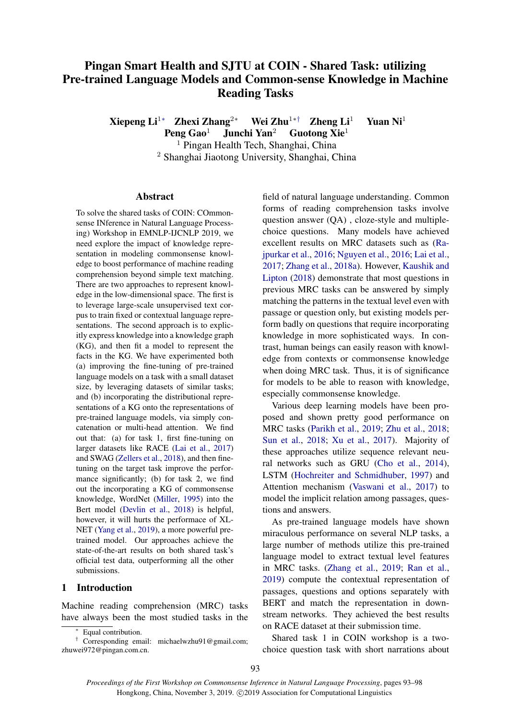# Pingan Smart Health and SJTU at COIN - Shared Task: utilizing Pre-trained Language Models and Common-sense Knowledge in Machine Reading Tasks

Xiepeng Li<sup>1</sup>∗ Zhexi Zhang<sup>2</sup>\* Wei Zhu<sup>1</sup>\*<sup>†</sup> Zheng Li<sup>1</sup> Yuan Ni<sup>1</sup>

Peng Gao<sup>1</sup> Junchi Yan<sup>2</sup> Guotong Xie<sup>1</sup>

<sup>1</sup> Pingan Health Tech, Shanghai, China

<sup>2</sup> Shanghai Jiaotong University, Shanghai, China

# Abstract

To solve the shared tasks of COIN: COmmonsense INference in Natural Language Processing) Workshop in EMNLP-IJCNLP 2019, we need explore the impact of knowledge representation in modeling commonsense knowledge to boost performance of machine reading comprehension beyond simple text matching. There are two approaches to represent knowledge in the low-dimensional space. The first is to leverage large-scale unsupervised text corpus to train fixed or contextual language representations. The second approach is to explicitly express knowledge into a knowledge graph (KG), and then fit a model to represent the facts in the KG. We have experimented both (a) improving the fine-tuning of pre-trained language models on a task with a small dataset size, by leveraging datasets of similar tasks; and (b) incorporating the distributional representations of a KG onto the representations of pre-trained language models, via simply concatenation or multi-head attention. We find out that: (a) for task 1, first fine-tuning on larger datasets like RACE [\(Lai et al.,](#page-4-0) [2017\)](#page-4-0) and SWAG [\(Zellers et al.,](#page-5-0) [2018\)](#page-5-0), and then finetuning on the target task improve the performance significantly; (b) for task 2, we find out the incorporating a KG of commonsense knowledge, WordNet [\(Miller,](#page-4-1) [1995\)](#page-4-1) into the Bert model [\(Devlin et al.,](#page-4-2) [2018\)](#page-4-2) is helpful, however, it will hurts the performace of XL-NET [\(Yang et al.,](#page-5-1) [2019\)](#page-5-1), a more powerful pretrained model. Our approaches achieve the state-of-the-art results on both shared task's official test data, outperforming all the other submissions.

## 1 Introduction

Machine reading comprehension (MRC) tasks have always been the most studied tasks in the

field of natural language understanding. Common forms of reading comprehension tasks involve question answer (QA) , cloze-style and multiplechoice questions. Many models have achieved excellent results on MRC datasets such as [\(Ra](#page-5-2)[jpurkar et al.,](#page-5-2) [2016;](#page-5-2) [Nguyen et al.,](#page-4-3) [2016;](#page-4-3) [Lai et al.,](#page-4-0) [2017;](#page-4-0) [Zhang et al.,](#page-5-3) [2018a\)](#page-5-3). However, [Kaushik and](#page-4-4) [Lipton](#page-4-4) [\(2018\)](#page-4-4) demonstrate that most questions in previous MRC tasks can be answered by simply matching the patterns in the textual level even with passage or question only, but existing models perform badly on questions that require incorporating knowledge in more sophisticated ways. In contrast, human beings can easily reason with knowledge from contexts or commonsense knowledge when doing MRC task. Thus, it is of significance for models to be able to reason with knowledge, especially commonsense knowledge.

Various deep learning models have been proposed and shown pretty good performance on MRC tasks [\(Parikh et al.,](#page-5-4) [2019;](#page-5-4) [Zhu et al.,](#page-5-5) [2018;](#page-5-5) [Sun et al.,](#page-5-6) [2018;](#page-5-6) [Xu et al.,](#page-5-7) [2017\)](#page-5-7). Majority of these approaches utilize sequence relevant neural networks such as GRU [\(Cho et al.,](#page-4-5) [2014\)](#page-4-5), LSTM [\(Hochreiter and Schmidhuber,](#page-4-6) [1997\)](#page-4-6) and Attention mechanism [\(Vaswani et al.,](#page-5-8) [2017\)](#page-5-8) to model the implicit relation among passages, questions and answers.

As pre-trained language models have shown miraculous performance on several NLP tasks, a large number of methods utilize this pre-trained language model to extract textual level features in MRC tasks. [\(Zhang et al.,](#page-5-9) [2019;](#page-5-9) [Ran et al.,](#page-5-10) [2019\)](#page-5-10) compute the contextual representation of passages, questions and options separately with BERT and match the representation in downstream networks. They achieved the best results on RACE dataset at their submission time.

Shared task 1 in COIN workshop is a twochoice question task with short narrations about

<sup>∗</sup> Equal contribution.

<sup>†</sup> Corresponding email: michaelwzhu91@gmail.com; zhuwei972@pingan.com.cn.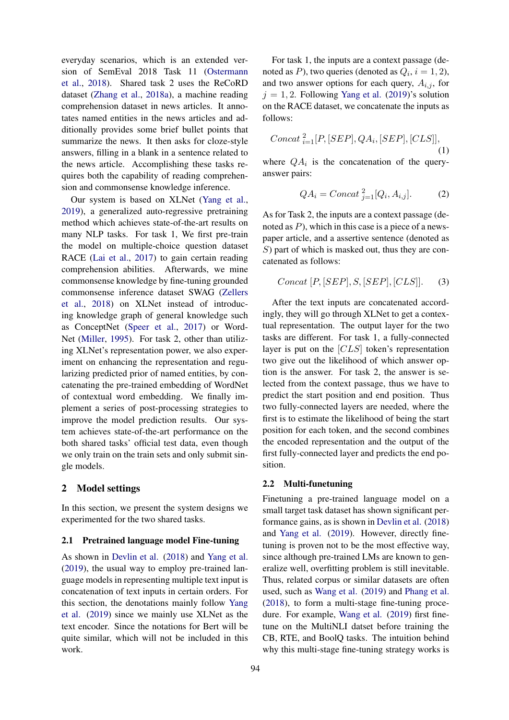everyday scenarios, which is an extended version of SemEval 2018 Task 11 [\(Ostermann](#page-5-11) [et al.,](#page-5-11) [2018\)](#page-5-11). Shared task 2 uses the ReCoRD dataset [\(Zhang et al.,](#page-5-3) [2018a\)](#page-5-3), a machine reading comprehension dataset in news articles. It annotates named entities in the news articles and additionally provides some brief bullet points that summarize the news. It then asks for cloze-style answers, filling in a blank in a sentence related to the news article. Accomplishing these tasks requires both the capability of reading comprehension and commonsense knowledge inference.

Our system is based on XLNet [\(Yang et al.,](#page-5-1) [2019\)](#page-5-1), a generalized auto-regressive pretraining method which achieves state-of-the-art results on many NLP tasks. For task 1, We first pre-train the model on multiple-choice question dataset RACE [\(Lai et al.,](#page-4-0) [2017\)](#page-4-0) to gain certain reading comprehension abilities. Afterwards, we mine commonsense knowledge by fine-tuning grounded commonsense inference dataset SWAG [\(Zellers](#page-5-0) [et al.,](#page-5-0) [2018\)](#page-5-0) on XLNet instead of introducing knowledge graph of general knowledge such as ConceptNet [\(Speer et al.,](#page-5-12) [2017\)](#page-5-12) or Word-Net [\(Miller,](#page-4-1) [1995\)](#page-4-1). For task 2, other than utilizing XLNet's representation power, we also experiment on enhancing the representation and regularizing predicted prior of named entities, by concatenating the pre-trained embedding of WordNet of contextual word embedding. We finally implement a series of post-processing strategies to improve the model prediction results. Our system achieves state-of-the-art performance on the both shared tasks' official test data, even though we only train on the train sets and only submit single models.

# 2 Model settings

In this section, we present the system designs we experimented for the two shared tasks.

# 2.1 Pretrained language model Fine-tuning

As shown in [Devlin et al.](#page-4-2) [\(2018\)](#page-4-2) and [Yang et al.](#page-5-1) [\(2019\)](#page-5-1), the usual way to employ pre-trained language models in representing multiple text input is concatenation of text inputs in certain orders. For this section, the denotations mainly follow [Yang](#page-5-1) [et al.](#page-5-1) [\(2019\)](#page-5-1) since we mainly use XLNet as the text encoder. Since the notations for Bert will be quite similar, which will not be included in this work.

For task 1, the inputs are a context passage (denoted as P), two queries (denoted as  $Q_i$ ,  $i = 1, 2$ ), and two answer options for each query,  $A_{i,j}$ , for  $j = 1, 2$ . Following [Yang et al.](#page-5-1) [\(2019\)](#page-5-1)'s solution on the RACE dataset, we concatenate the inputs as follows:

$$
Concat_{i=1}^{2}[P,[SEP],QA_{i},[SEP],[CLS]],
$$
\n(1)

where  $QA_i$  is the concatenation of the queryanswer pairs:

$$
QA_i = Concat_{j=1}^2 [Q_i, A_{i,j}].
$$
 (2)

As for Task 2, the inputs are a context passage (denoted as  $P$ ), which in this case is a piece of a newspaper article, and a assertive sentence (denoted as  $S$ ) part of which is masked out, thus they are concatenated as follows:

$$
Concat [P, [SEP], S, [SEP], [CLS]].
$$
 (3)

After the text inputs are concatenated accordingly, they will go through XLNet to get a contextual representation. The output layer for the two tasks are different. For task 1, a fully-connected layer is put on the [CLS] token's representation two give out the likelihood of which answer option is the answer. For task 2, the answer is selected from the context passage, thus we have to predict the start position and end position. Thus two fully-connected layers are needed, where the first is to estimate the likelihood of being the start position for each token, and the second combines the encoded representation and the output of the first fully-connected layer and predicts the end position.

#### 2.2 Multi-funetuning

Finetuning a pre-trained language model on a small target task dataset has shown significant performance gains, as is shown in [Devlin et al.](#page-4-2) [\(2018\)](#page-4-2) and [Yang et al.](#page-5-1) [\(2019\)](#page-5-1). However, directly finetuning is proven not to be the most effective way, since although pre-trained LMs are known to generalize well, overfitting problem is still inevitable. Thus, related corpus or similar datasets are often used, such as [Wang et al.](#page-5-13) [\(2019\)](#page-5-13) and [Phang et al.](#page-5-14) [\(2018\)](#page-5-14), to form a multi-stage fine-tuning procedure. For example, [Wang et al.](#page-5-13) [\(2019\)](#page-5-13) first finetune on the MultiNLI datset before training the CB, RTE, and BoolQ tasks. The intuition behind why this multi-stage fine-tuning strategy works is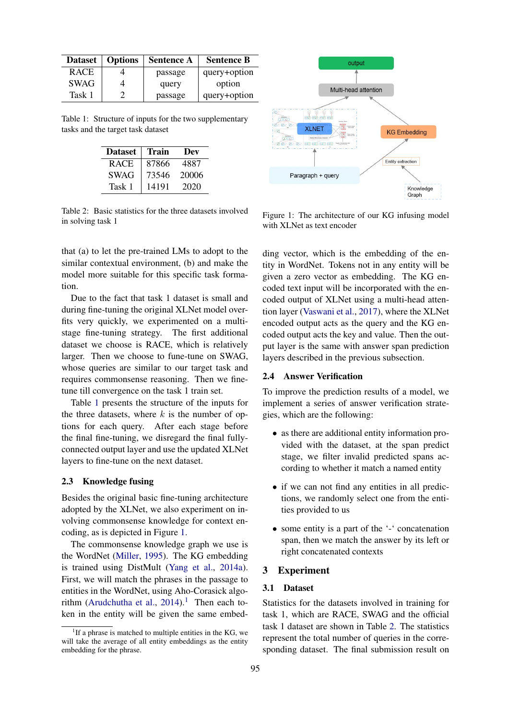<span id="page-2-0"></span>

| <b>Dataset</b> | <b>Options</b> | <b>Sentence A</b> | <b>Sentence B</b> |
|----------------|----------------|-------------------|-------------------|
| <b>RACE</b>    |                | passage           | query+option      |
| <b>SWAG</b>    |                | query             | option            |
| Task 1         |                | passage           | query+option      |

<span id="page-2-3"></span>Table 1: Structure of inputs for the two supplementary tasks and the target task dataset

| <b>Dataset</b> | Train | Dev   |  |
|----------------|-------|-------|--|
| <b>RACE</b>    | 87866 | 4887  |  |
| <b>SWAG</b>    | 73546 | 20006 |  |
| Task 1         | 14191 | 2020  |  |

Table 2: Basic statistics for the three datasets involved in solving task 1

that (a) to let the pre-trained LMs to adopt to the similar contextual environment, (b) and make the model more suitable for this specific task formation.

Due to the fact that task 1 dataset is small and during fine-tuning the original XLNet model overfits very quickly, we experimented on a multistage fine-tuning strategy. The first additional dataset we choose is RACE, which is relatively larger. Then we choose to fune-tune on SWAG, whose queries are similar to our target task and requires commonsense reasoning. Then we finetune till convergence on the task 1 train set.

Table [1](#page-2-0) presents the structure of the inputs for the three datasets, where  $k$  is the number of options for each query. After each stage before the final fine-tuning, we disregard the final fullyconnected output layer and use the updated XLNet layers to fine-tune on the next dataset.

## 2.3 Knowledge fusing

Besides the original basic fine-tuning architecture adopted by the XLNet, we also experiment on involving commonsense knowledge for context encoding, as is depicted in Figure [1.](#page-2-1)

The commonsense knowledge graph we use is the WordNet [\(Miller,](#page-4-1) [1995\)](#page-4-1). The KG embedding is trained using DistMult [\(Yang et al.,](#page-5-15) [2014a\)](#page-5-15). First, we will match the phrases in the passage to entities in the WordNet, using Aho-Corasick algo-rithm [\(Arudchutha et al.,](#page-4-7)  $2014$  $2014$  $2014$ ).<sup>1</sup> Then each token in the entity will be given the same embed-

<span id="page-2-1"></span>

Figure 1: The architecture of our KG infusing model with XLNet as text encoder

ding vector, which is the embedding of the entity in WordNet. Tokens not in any entity will be given a zero vector as embedding. The KG encoded text input will be incorporated with the encoded output of XLNet using a multi-head attention layer [\(Vaswani et al.,](#page-5-8) [2017\)](#page-5-8), where the XLNet encoded output acts as the query and the KG encoded output acts the key and value. Then the output layer is the same with answer span prediction layers described in the previous subsection.

#### 2.4 Answer Verification

To improve the prediction results of a model, we implement a series of answer verification strategies, which are the following:

- as there are additional entity information provided with the dataset, at the span predict stage, we filter invalid predicted spans according to whether it match a named entity
- if we can not find any entities in all predictions, we randomly select one from the entities provided to us
- some entity is a part of the '-' concatenation span, then we match the answer by its left or right concatenated contexts

#### 3 Experiment

# 3.1 Dataset

Statistics for the datasets involved in training for task 1, which are RACE, SWAG and the official task 1 dataset are shown in Table [2.](#page-2-3) The statistics represent the total number of queries in the corresponding dataset. The final submission result on

<span id="page-2-2"></span><sup>&</sup>lt;sup>1</sup>If a phrase is matched to multiple entities in the KG, we will take the average of all entity embeddings as the entity embedding for the phrase.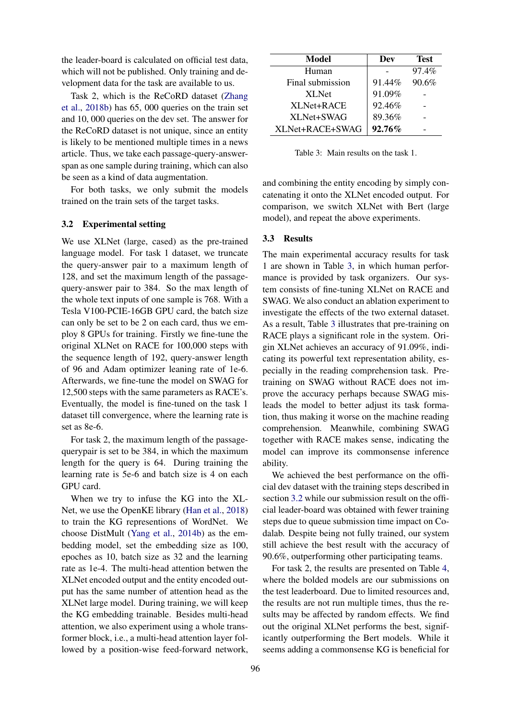the leader-board is calculated on official test data, which will not be published. Only training and development data for the task are available to us.

Task 2, which is the ReCoRD dataset [\(Zhang](#page-5-16) [et al.,](#page-5-16) [2018b\)](#page-5-16) has 65, 000 queries on the train set and 10, 000 queries on the dev set. The answer for the ReCoRD dataset is not unique, since an entity is likely to be mentioned multiple times in a news article. Thus, we take each passage-query-answerspan as one sample during training, which can also be seen as a kind of data augmentation.

For both tasks, we only submit the models trained on the train sets of the target tasks.

#### <span id="page-3-1"></span>3.2 Experimental setting

We use XLNet (large, cased) as the pre-trained language model. For task 1 dataset, we truncate the query-answer pair to a maximum length of 128, and set the maximum length of the passagequery-answer pair to 384. So the max length of the whole text inputs of one sample is 768. With a Tesla V100-PCIE-16GB GPU card, the batch size can only be set to be 2 on each card, thus we employ 8 GPUs for training. Firstly we fine-tune the original XLNet on RACE for 100,000 steps with the sequence length of 192, query-answer length of 96 and Adam optimizer leaning rate of 1e-6. Afterwards, we fine-tune the model on SWAG for 12,500 steps with the same parameters as RACE's. Eventually, the model is fine-tuned on the task 1 dataset till convergence, where the learning rate is set as 8e-6.

For task 2, the maximum length of the passagequerypair is set to be 384, in which the maximum length for the query is 64. During training the learning rate is 5e-6 and batch size is 4 on each GPU card.

When we try to infuse the KG into the XL-Net, we use the OpenKE library [\(Han et al.,](#page-4-8) [2018\)](#page-4-8) to train the KG representions of WordNet. We choose DistMult [\(Yang et al.,](#page-5-17) [2014b\)](#page-5-17) as the embedding model, set the embedding size as 100, epoches as 10, batch size as 32 and the learning rate as 1e-4. The multi-head attention betwen the XLNet encoded output and the entity encoded output has the same number of attention head as the XLNet large model. During training, we will keep the KG embedding trainable. Besides multi-head attention, we also experiment using a whole transformer block, i.e., a multi-head attention layer followed by a position-wise feed-forward network,

<span id="page-3-0"></span>

| Model            | Dev    | <b>Test</b> |
|------------------|--------|-------------|
| Human            |        | 97.4%       |
| Final submission | 91.44% | 90.6%       |
| XL Net           | 91.09% |             |
| XL Net + RACE    | 92.46% |             |
| XLNet+SWAG       | 89.36% |             |
| XLNet+RACE+SWAG  | 92.76% |             |

Table 3: Main results on the task 1.

and combining the entity encoding by simply concatenating it onto the XLNet encoded output. For comparison, we switch XLNet with Bert (large model), and repeat the above experiments.

## 3.3 Results

The main experimental accuracy results for task 1 are shown in Table [3,](#page-3-0) in which human performance is provided by task organizers. Our system consists of fine-tuning XLNet on RACE and SWAG. We also conduct an ablation experiment to investigate the effects of the two external dataset. As a result, Table [3](#page-3-0) illustrates that pre-training on RACE plays a significant role in the system. Origin XLNet achieves an accuracy of 91.09%, indicating its powerful text representation ability, especially in the reading comprehension task. Pretraining on SWAG without RACE does not improve the accuracy perhaps because SWAG misleads the model to better adjust its task formation, thus making it worse on the machine reading comprehension. Meanwhile, combining SWAG together with RACE makes sense, indicating the model can improve its commonsense inference ability.

We achieved the best performance on the official dev dataset with the training steps described in section [3.2](#page-3-1) while our submission result on the official leader-board was obtained with fewer training steps due to queue submission time impact on Codalab. Despite being not fully trained, our system still achieve the best result with the accuracy of 90.6%, outperforming other participating teams.

For task 2, the results are presented on Table [4,](#page-4-9) where the bolded models are our submissions on the test leaderboard. Due to limited resources and, the results are not run multiple times, thus the results may be affected by random effects. We find out the original XLNet performs the best, significantly outperforming the Bert models. While it seems adding a commonsense KG is beneficial for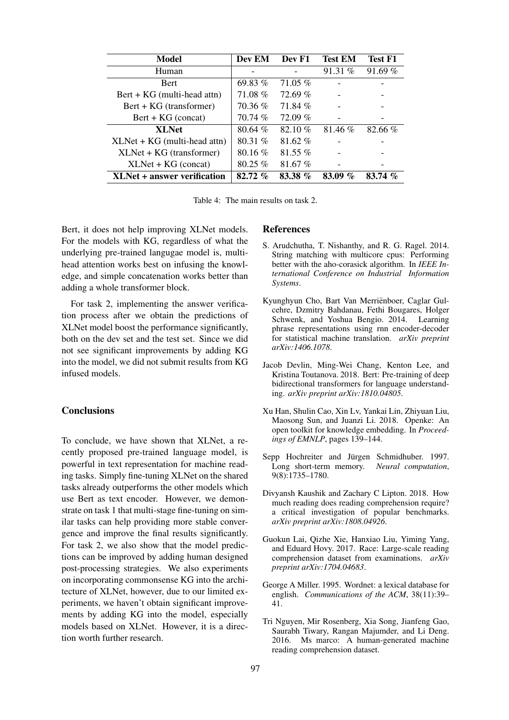<span id="page-4-9"></span>

| Model                                       | Dev EM    | Dev F1    | <b>Test EM</b>                  | <b>Test F1</b> |
|---------------------------------------------|-----------|-----------|---------------------------------|----------------|
| Human                                       |           |           | 91.31%                          | 91.69%         |
| <b>Bert</b>                                 | 69.83%    | 71.05 %   |                                 |                |
| $\text{Bert} + \text{KG}$ (multi-head attn) | 71.08%    | 72.69%    |                                 |                |
| Bert + KG (transformer)                     | 70.36%    | 71.84 %   |                                 |                |
| $Bert + KG (concat)$                        | 70.74 %   | $72.09\%$ |                                 |                |
| <b>XLNet</b>                                | 80.64%    | $82.10\%$ | 81.46 %                         | 82.66%         |
| $XLNet + KG$ (multi-head attn)              | 80.31%    | $81.62\%$ |                                 |                |
| $XLNet + KG (transformer)$                  | $80.16\%$ | $81.55\%$ |                                 |                |
| $XLNet + KG (concat)$                       | $80.25\%$ | 81.67%    |                                 |                |
| <b>XLNet + answer verification</b>          | 82.72%    | 83.38 %   | $\mathcal{G}_{\Omega}$<br>83.09 | $83.74\%$      |

Table 4: The main results on task 2.

Bert, it does not help improving XLNet models. For the models with KG, regardless of what the underlying pre-trained langugae model is, multihead attention works best on infusing the knowledge, and simple concatenation works better than adding a whole transformer block.

For task 2, implementing the answer verification process after we obtain the predictions of XLNet model boost the performance significantly, both on the dev set and the test set. Since we did not see significant improvements by adding KG into the model, we did not submit results from KG infused models.

# **Conclusions**

To conclude, we have shown that XLNet, a recently proposed pre-trained language model, is powerful in text representation for machine reading tasks. Simply fine-tuning XLNet on the shared tasks already outperforms the other models which use Bert as text encoder. However, we demonstrate on task 1 that multi-stage fine-tuning on similar tasks can help providing more stable convergence and improve the final results significantly. For task 2, we also show that the model predictions can be improved by adding human designed post-processing strategies. We also experiments on incorporating commonsense KG into the architecture of XLNet, however, due to our limited experiments, we haven't obtain significant improvements by adding KG into the model, especially models based on XLNet. However, it is a direction worth further research.

#### References

- <span id="page-4-7"></span>S. Arudchutha, T. Nishanthy, and R. G. Ragel. 2014. String matching with multicore cpus: Performing better with the aho-corasick algorithm. In *IEEE International Conference on Industrial Information Systems*.
- <span id="page-4-5"></span>Kyunghyun Cho, Bart Van Merriënboer, Caglar Gulcehre, Dzmitry Bahdanau, Fethi Bougares, Holger Schwenk, and Yoshua Bengio. 2014. Learning phrase representations using rnn encoder-decoder for statistical machine translation. *arXiv preprint arXiv:1406.1078*.
- <span id="page-4-2"></span>Jacob Devlin, Ming-Wei Chang, Kenton Lee, and Kristina Toutanova. 2018. Bert: Pre-training of deep bidirectional transformers for language understanding. *arXiv preprint arXiv:1810.04805*.
- <span id="page-4-8"></span>Xu Han, Shulin Cao, Xin Lv, Yankai Lin, Zhiyuan Liu, Maosong Sun, and Juanzi Li. 2018. Openke: An open toolkit for knowledge embedding. In *Proceedings of EMNLP*, pages 139–144.
- <span id="page-4-6"></span>Sepp Hochreiter and Jürgen Schmidhuber. 1997. Long short-term memory. *Neural computation*, 9(8):1735–1780.
- <span id="page-4-4"></span>Divyansh Kaushik and Zachary C Lipton. 2018. How much reading does reading comprehension require? a critical investigation of popular benchmarks. *arXiv preprint arXiv:1808.04926*.
- <span id="page-4-0"></span>Guokun Lai, Qizhe Xie, Hanxiao Liu, Yiming Yang, and Eduard Hovy. 2017. Race: Large-scale reading comprehension dataset from examinations. *arXiv preprint arXiv:1704.04683*.
- <span id="page-4-1"></span>George A Miller. 1995. Wordnet: a lexical database for english. *Communications of the ACM*, 38(11):39– 41.
- <span id="page-4-3"></span>Tri Nguyen, Mir Rosenberg, Xia Song, Jianfeng Gao, Saurabh Tiwary, Rangan Majumder, and Li Deng. 2016. Ms marco: A human-generated machine reading comprehension dataset.